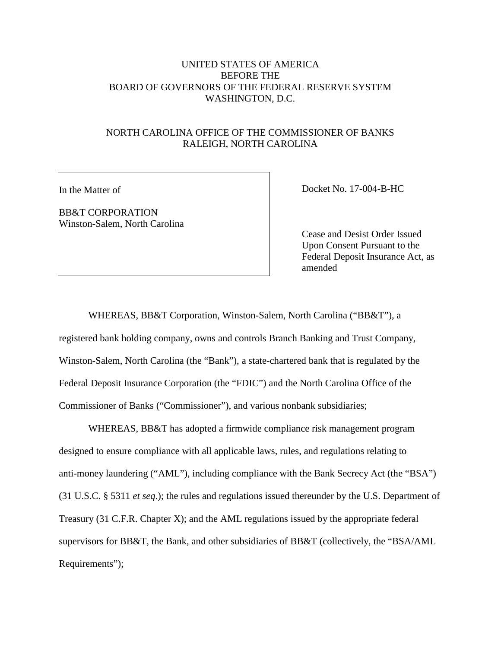# UNITED STATES OF AMERICA BEFORE THE BOARD OF GOVERNORS OF THE FEDERAL RESERVE SYSTEM WASHINGTON, D.C.

## NORTH CAROLINA OFFICE OF THE COMMISSIONER OF BANKS RALEIGH, NORTH CAROLINA

In the Matter of

BB&T CORPORATION Winston-Salem, North Carolina Docket No. 17-004-B-HC

Cease and Desist Order Issued Upon Consent Pursuant to the Federal Deposit Insurance Act, as amended

WHEREAS, BB&T Corporation, Winston-Salem, North Carolina ("BB&T"), a registered bank holding company, owns and controls Branch Banking and Trust Company, Winston-Salem, North Carolina (the "Bank"), a state-chartered bank that is regulated by the Federal Deposit Insurance Corporation (the "FDIC") and the North Carolina Office of the Commissioner of Banks ("Commissioner"), and various nonbank subsidiaries;

WHEREAS, BB&T has adopted a firmwide compliance risk management program designed to ensure compliance with all applicable laws, rules, and regulations relating to anti-money laundering ("AML"), including compliance with the Bank Secrecy Act (the "BSA") (31 U.S.C. § 5311 *et seq*.); the rules and regulations issued thereunder by the U.S. Department of Treasury (31 C.F.R. Chapter X); and the AML regulations issued by the appropriate federal supervisors for BB&T, the Bank, and other subsidiaries of BB&T (collectively, the "BSA/AML Requirements");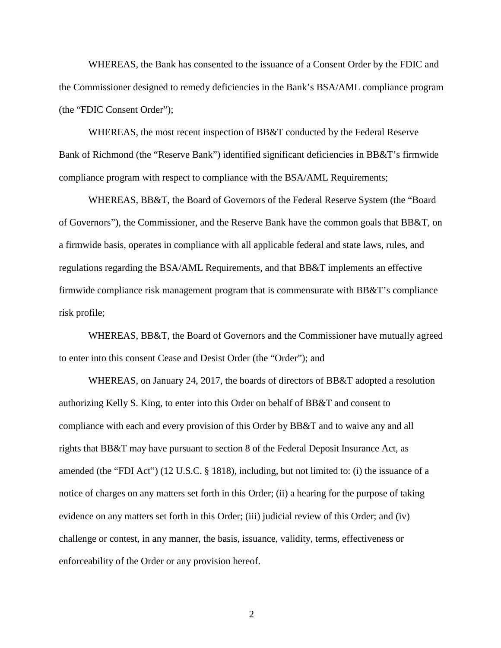WHEREAS, the Bank has consented to the issuance of a Consent Order by the FDIC and the Commissioner designed to remedy deficiencies in the Bank's BSA/AML compliance program (the "FDIC Consent Order");

WHEREAS, the most recent inspection of BB&T conducted by the Federal Reserve Bank of Richmond (the "Reserve Bank") identified significant deficiencies in BB&T's firmwide compliance program with respect to compliance with the BSA/AML Requirements;

WHEREAS, BB&T, the Board of Governors of the Federal Reserve System (the "Board of Governors"), the Commissioner, and the Reserve Bank have the common goals that BB&T, on a firmwide basis, operates in compliance with all applicable federal and state laws, rules, and regulations regarding the BSA/AML Requirements, and that BB&T implements an effective firmwide compliance risk management program that is commensurate with BB&T's compliance risk profile;

WHEREAS, BB&T, the Board of Governors and the Commissioner have mutually agreed to enter into this consent Cease and Desist Order (the "Order"); and

WHEREAS, on January 24, 2017, the boards of directors of BB&T adopted a resolution authorizing Kelly S. King, to enter into this Order on behalf of BB&T and consent to compliance with each and every provision of this Order by BB&T and to waive any and all rights that BB&T may have pursuant to section 8 of the Federal Deposit Insurance Act, as amended (the "FDI Act") (12 U.S.C. § 1818), including, but not limited to: (i) the issuance of a notice of charges on any matters set forth in this Order; (ii) a hearing for the purpose of taking evidence on any matters set forth in this Order; (iii) judicial review of this Order; and (iv) challenge or contest, in any manner, the basis, issuance, validity, terms, effectiveness or enforceability of the Order or any provision hereof.

 $\mathfrak{D}$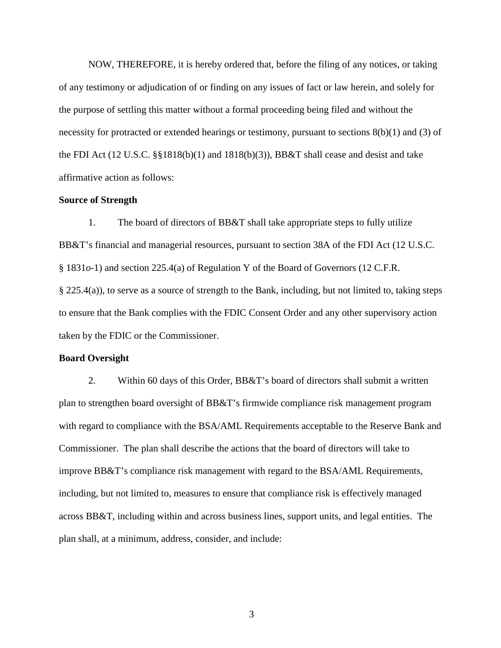NOW, THEREFORE, it is hereby ordered that, before the filing of any notices, or taking of any testimony or adjudication of or finding on any issues of fact or law herein, and solely for the purpose of settling this matter without a formal proceeding being filed and without the necessity for protracted or extended hearings or testimony, pursuant to sections 8(b)(1) and (3) of the FDI Act (12 U.S.C.  $\S$  $\S$ 1818(b)(1) and 1818(b)(3)), BB&T shall cease and desist and take affirmative action as follows:

#### **Source of Strength**

1. The board of directors of BB&T shall take appropriate steps to fully utilize BB&T's financial and managerial resources, pursuant to section 38A of the FDI Act (12 U.S.C. § 1831*o*-1) and section 225.4(a) of Regulation Y of the Board of Governors (12 C.F.R. § 225.4(a)), to serve as a source of strength to the Bank, including, but not limited to, taking steps to ensure that the Bank complies with the FDIC Consent Order and any other supervisory action taken by the FDIC or the Commissioner.

#### **Board Oversight**

2. Within 60 days of this Order, BB&T's board of directors shall submit a written plan to strengthen board oversight of BB&T's firmwide compliance risk management program with regard to compliance with the BSA/AML Requirements acceptable to the Reserve Bank and Commissioner. The plan shall describe the actions that the board of directors will take to improve BB&T's compliance risk management with regard to the BSA/AML Requirements, including, but not limited to, measures to ensure that compliance risk is effectively managed across BB&T, including within and across business lines, support units, and legal entities. The plan shall, at a minimum, address, consider, and include:

3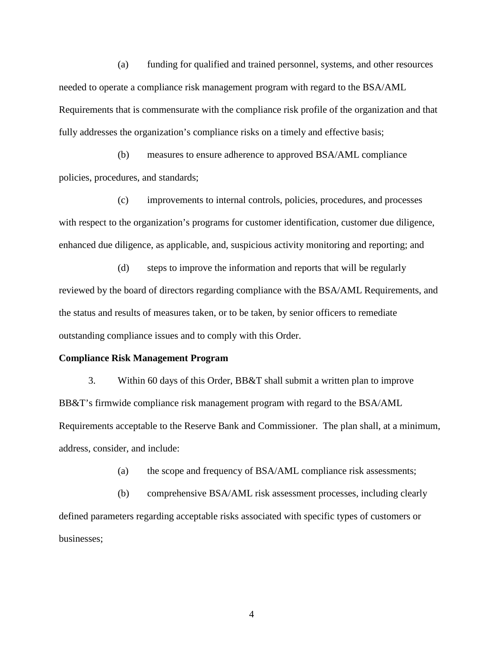(a) funding for qualified and trained personnel, systems, and other resources needed to operate a compliance risk management program with regard to the BSA/AML Requirements that is commensurate with the compliance risk profile of the organization and that fully addresses the organization's compliance risks on a timely and effective basis;

(b) measures to ensure adherence to approved BSA/AML compliance policies, procedures, and standards;

(c) improvements to internal controls, policies, procedures, and processes with respect to the organization's programs for customer identification, customer due diligence, enhanced due diligence, as applicable, and, suspicious activity monitoring and reporting; and

(d) steps to improve the information and reports that will be regularly reviewed by the board of directors regarding compliance with the BSA/AML Requirements, and the status and results of measures taken, or to be taken, by senior officers to remediate outstanding compliance issues and to comply with this Order.

#### **Compliance Risk Management Program**

3. Within 60 days of this Order, BB&T shall submit a written plan to improve BB&T's firmwide compliance risk management program with regard to the BSA/AML Requirements acceptable to the Reserve Bank and Commissioner. The plan shall, at a minimum, address, consider, and include:

(a) the scope and frequency of BSA/AML compliance risk assessments;

(b) comprehensive BSA/AML risk assessment processes, including clearly defined parameters regarding acceptable risks associated with specific types of customers or businesses;

4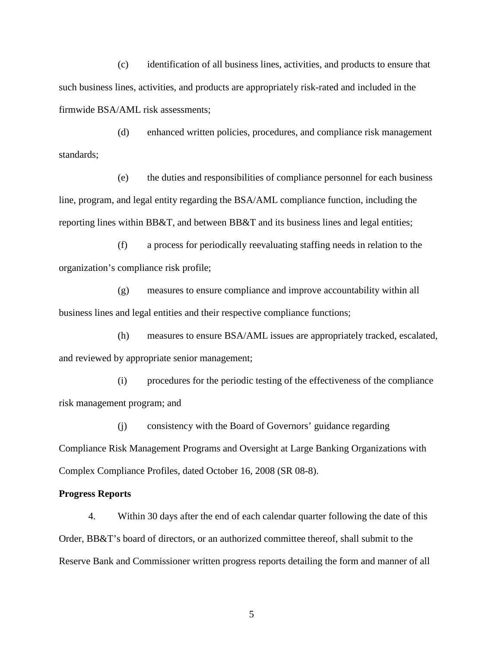(c) identification of all business lines, activities, and products to ensure that such business lines, activities, and products are appropriately risk-rated and included in the firmwide BSA/AML risk assessments;

(d) enhanced written policies, procedures, and compliance risk management standards;

(e) the duties and responsibilities of compliance personnel for each business line, program, and legal entity regarding the BSA/AML compliance function, including the reporting lines within BB&T, and between BB&T and its business lines and legal entities;

(f) a process for periodically reevaluating staffing needs in relation to the organization's compliance risk profile;

(g) measures to ensure compliance and improve accountability within all business lines and legal entities and their respective compliance functions;

(h) measures to ensure BSA/AML issues are appropriately tracked, escalated, and reviewed by appropriate senior management;

(i) procedures for the periodic testing of the effectiveness of the compliance risk management program; and

(j) consistency with the Board of Governors' guidance regarding Compliance Risk Management Programs and Oversight at Large Banking Organizations with Complex Compliance Profiles, dated October 16, 2008 (SR 08-8).

#### **Progress Reports**

4. Within 30 days after the end of each calendar quarter following the date of this Order, BB&T's board of directors, or an authorized committee thereof, shall submit to the Reserve Bank and Commissioner written progress reports detailing the form and manner of all

5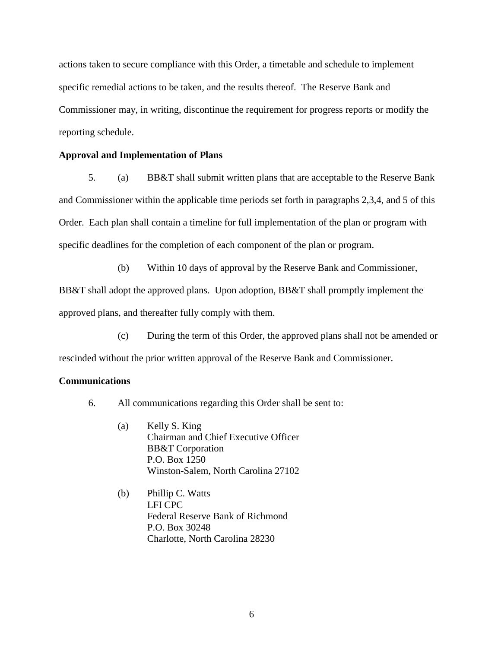actions taken to secure compliance with this Order, a timetable and schedule to implement specific remedial actions to be taken, and the results thereof. The Reserve Bank and Commissioner may, in writing, discontinue the requirement for progress reports or modify the reporting schedule.

### **Approval and Implementation of Plans**

5. (a) BB&T shall submit written plans that are acceptable to the Reserve Bank and Commissioner within the applicable time periods set forth in paragraphs 2,3,4, and 5 of this Order. Each plan shall contain a timeline for full implementation of the plan or program with specific deadlines for the completion of each component of the plan or program.

(b) Within 10 days of approval by the Reserve Bank and Commissioner, BB&T shall adopt the approved plans. Upon adoption, BB&T shall promptly implement the approved plans, and thereafter fully comply with them.

(c) During the term of this Order, the approved plans shall not be amended or

rescinded without the prior written approval of the Reserve Bank and Commissioner.

## **Communications**

- 6. All communications regarding this Order shall be sent to:
	- (a) Kelly S. King Chairman and Chief Executive Officer BB&T Corporation P.O. Box 1250 Winston-Salem, North Carolina 27102
	- (b) Phillip C. Watts LFI CPC Federal Reserve Bank of Richmond P.O. Box 30248 Charlotte, North Carolina 28230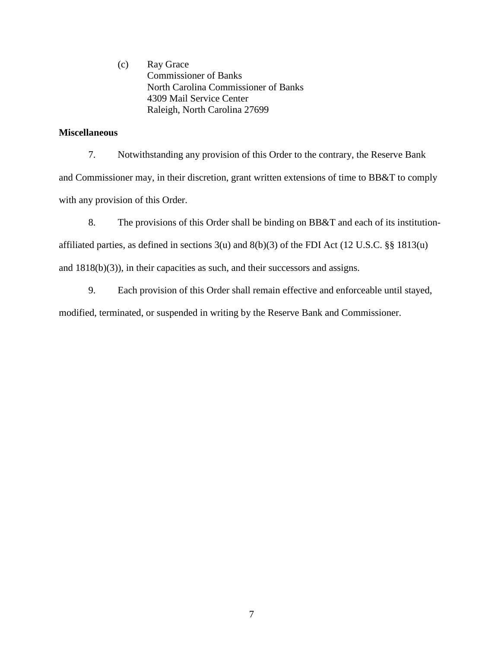(c) Ray Grace Commissioner of Banks North Carolina Commissioner of Banks 4309 Mail Service Center Raleigh, North Carolina 27699

### **Miscellaneous**

7. Notwithstanding any provision of this Order to the contrary, the Reserve Bank and Commissioner may, in their discretion, grant written extensions of time to BB&T to comply with any provision of this Order.

8. The provisions of this Order shall be binding on BB&T and each of its institutionaffiliated parties, as defined in sections 3(u) and 8(b)(3) of the FDI Act (12 U.S.C. §§ 1813(u) and 1818(b)(3)), in their capacities as such, and their successors and assigns.

9. Each provision of this Order shall remain effective and enforceable until stayed,

modified, terminated, or suspended in writing by the Reserve Bank and Commissioner.